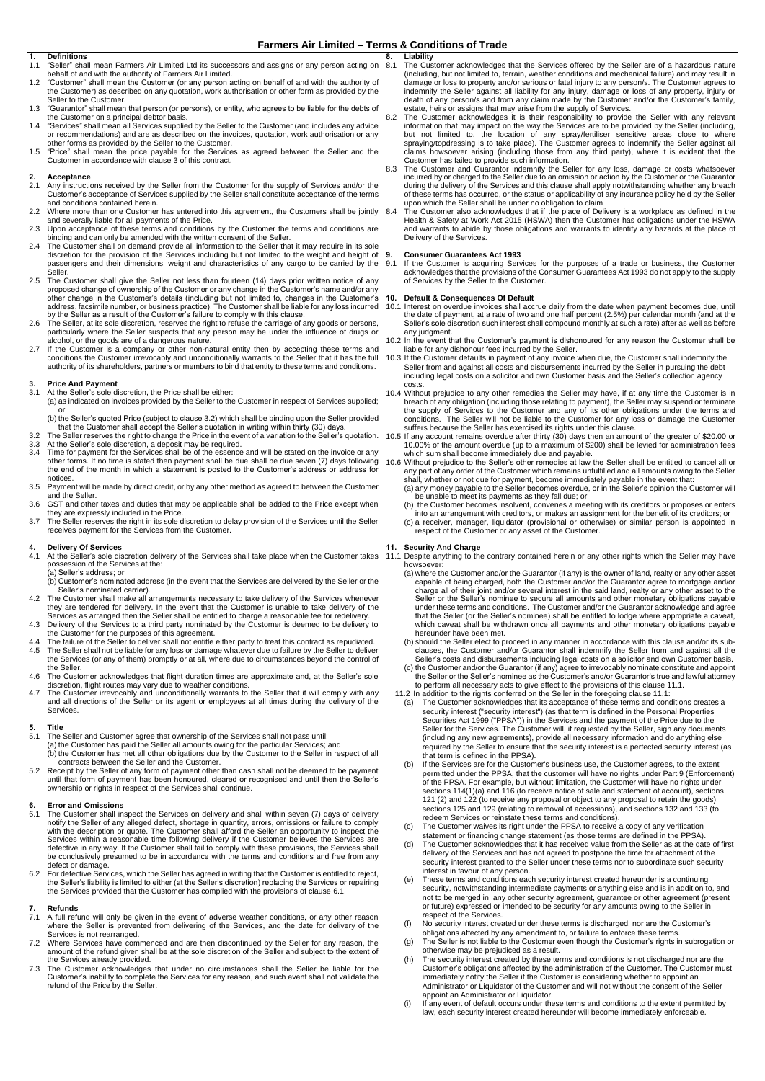#### **Farmers Air Limited – Terms & Conditions of Trade**

# **1. Definitions**

- 1.1 "Seller" shall mean Farmers Air Limited Ltd its successors and assigns or any person acting on
- behalf of and with the authority of Farmers Air Limited. 1.2 "Customer" shall mean the Customer (or any person acting on behalf of and with the authority of the Customer) as described on any quotation, work authorisation or other form as provided by the
- Seller to the Customer. 1.3 "Guarantor" shall mean that person (or persons), or entity, who agrees to be liable for the debts of
- the Customer on a principal debtor basis.<br>1.4 "Services" shall mean all Services supplied by the Seller to the Customer (and includes any advice<br>or recommendations) and are as described on the invoices, quotation, work aut other forms as provided by the Seller to the Customer.
- 1.5 "Price" shall mean the price payable for the Services as agreed between the Seller and the Customer in accordance with claus[e 3](#page-0-0) of this contract.

### **2. Acceptance**

- 2.1 Any instructions received by the Seller from the Customer for the supply of Services and/or the Customer's acceptance of Services supplied by the Seller shall constitute acceptance of the terms and conditions contained herein.
- 2.2 Where more than one Customer has entered into this agreement, the Customers shall be jointly and severally liable for all payments of the Price.
- 2.3 Upon acceptance of these terms and conditions by the Customer the terms and conditions are binding and can only be amended with the written consent of the Seller.
- 2.4 The Customer shall on demand provide all information to the Seller that it may require in its sole discretion for the provision of the Services including but not limited to the weight and height of passengers and their dimensions, weight and characteristics of any cargo to be carried by the .<br>Seller
- 2.5 The Customer shall give the Seller not less than fourteen (14) days prior written notice of any proposed change of ownership of the Customer or any change in the Customer's name and/or any other change in the Customer's details (including but not limited to, changes in the Customer's address, facsimile number, or business practice). The Customer shall be liable for any loss incurred
- by the Seller as a result of the Customer's failure to comply with this clause.<br>2.6 The Seller, at its sole discretion, reserves the right to refuse the carriage of any goods or persons,<br>particularly where the Seller suspe
- alcohol, or the goods are of a dangerous nature.<br>2.7 If the Customer is a company or other non-natural entity then by accepting these terms and<br>conditions the Customer irrevocably and unconditionally warrants to the Selle authority of its shareholders, partners or members to bind that entity to these terms and conditions.

#### <span id="page-0-0"></span>**3. Price And Payment**

- At the Seller's sole discretion, the Price shall be either:
- (a) as indicated on invoices provided by the Seller to the Customer in respect of Services supplied; or (b) the Seller's quoted Price (subject to claus[e 3.2\)](#page-0-1) which shall be binding upon the Seller provided
- that the Customer shall accept the Seller's quotation in writing within thirty (30) days. 3.2 The Seller reserves the right to change the Price in the event of a variation to the Seller's quotation.
- <span id="page-0-1"></span>3.3 At the Seller's sole discretion, a deposit may be required.<br>3.4 Time for payment for the Services shall be of the essence
- Time for payment for the Services shall be of the essence and will be stated on the invoice or any other forms. If no time is stated then payment shall be due shall be due seven (7) days following the end of the month in which a statement is posted to the Customer's address or address for notices.
- 3.5 Payment will be made by direct credit, or by any other method as agreed to between the Customer and the Seller.
- 3.6 GST and other taxes and duties that may be applicable shall be added to the Price except when
- they are expressly included in the Price.<br>3.7 The Seller reserves the right in its sole discretion to delay provision of the Services until the Seller<br>receives payment for the Services from the Customer.

# **4. Delivery Of Services**

- 4.1 At the Seller's sole discretion delivery of the Services shall take place when the Customer takes possession of the Services at the: (a) Seller's address; or
- (b) Customer's nominated address (in the event that the Services are delivered by the Seller or the Seller's nominated carrier).
- 4.2 The Customer shall make all arrangements necessary to take delivery of the Services whenever they are tendered for delivery. In the event that the Customer is unable to take delivery of the Services as arranged then the Seller shall be entitled to charge a reasonable fee for redelivery.
- 4.3 Delivery of the Services to a third party nominated by the Customer is deemed to be delivery to<br>the Customer for the purposes of this agreement.<br>4.4 The failure of the Seller to deliver shall not entitle either party t
- 4.5 The Seller shall not be liable for any loss or damage whatever due to failure by the Seller to deliver the Services (or any of them) promptly or at all, where due to circumstances beyond the control of the Seller.
- 4.6 The Customer acknowledges that flight duration times are approximate and, at the Seller's sole discretion, flight routes may vary due to weather conditions.
- 4.7 The Customer irrevocably and unconditionally warrants to the Seller that it will comply with any and all directions of the Seller or its agent or employees at all times during the delivery of the Services.

# **5. Title**

- The Seller and Customer agree that ownership of the Services shall not pass until: (a) the Customer has paid the Seller all amounts owing for the particular Services; and (b) the Customer has met all other obligations due by the Customer to the Seller in respect of all
- contracts between the Seller and the Customer. 5.2 Receipt by the Seller of any form of payment other than cash shall not be deemed to be payment
- until that form of payment has been honoured, cleared or recognised and until then the Seller's ownership or rights in respect of the Services shall continue.

- <span id="page-0-2"></span>6. Error and Omissions<br>
6.1 Tre Customer shall inspect the Services on delivery and shall within seven (7) days of delivery<br>
notify the Seller of any alleged defect, shortage in quantity, errors, omissions or failure to co defect or damage.
- 6.2 For defective Services, which the Seller has agreed in writing that the Customer is entitled to reject, the Seller's liability is limited to either (at the Seller's discretion) replacing the Services or repairing the Services provided that the Customer has complied with the provisions of claus[e 6.1.](#page-0-2)

### **7. Refunds**

- 7.1 A full refund will only be given in the event of adverse weather conditions, or any other reason where the Seller is prevented from delivering of the Services, and the date for delivery of the Services is not rearranged.
- 7.2 Where Services have commenced and are then discontinued by the Seller for any reason, the amount of the refund given shall be at the sole discretion of the Seller and subject to the extent of
- the Services already provided. 7.3 The Customer acknowledges that under no circumstances shall the Seller be liable for the Customer's inability to complete the Services for any reason, and such event shall not validate the refund of the Price by the Seller.
- **8. Liability** 8.1 The Customer acknowledges that the Services offered by the Seller are of a hazardous nature (including, but not limited to, terrain, weather conditions and mechanical failure) and may result in damage or loss to property and/or serious or fatal injury to any person/s. The Customer agrees to indemnify the Seller against all liability for any injury, damage or loss of any property, injury or<br>death of any person/s and from any claim made by the Customer and/or the Customer's family,<br>estate, heirs or assigns that
- 8.2 The Customer acknowledges it is their responsibility to provide the Seller with any relevant information that may impact on the way the Services are to be provided by the Seller (including, but not limited to, the loca Customer has failed to provide such information.
- 8.3 The Customer and Guarantor indemnify the Seller for any loss, damage or costs whatsoever incurred by or charged to the Seller due to an omission or action by the Customer or the Guarantor during the delivery of the Services and this clause shall apply notwithstanding whether any breach of these terms has occurred, or the status or applicability of any insurance policy held by the Seller upon which the Seller shall be under no obligation to claim
- 8.4 The Customer also acknowledges that if the place of Delivery is a workplace as defined in the Health & Safety at Work Act 2015 (HSWA) then the Customer has obligations under the HSWA and warrants to abide by those obligations and warrants to identify any hazards at the place of Delivery of the Services.

# **9. Consumer Guarantees Act 1993**

9.1 If the Customer is acquiring Services for the purposes of a trade or business, the Customer acknowledges that the provisions of the Consumer Guarantees Act 1993 do not apply to the supply of Services by the Seller to the Customer.

# **10. Default & Consequences Of Default**

- 10.1 Interest on overdue invoices shall accrue daily from the date when payment becomes due, until the date of payment, at a rate of two and one half percent (2.5%) per calendar month (and at the Seller's sole discretion such interest shall compound monthly at such a rate) after as well as before any judgment.
- 10.2 In the event that the Customer's payment is dishonoured for any reason the Customer shall be liable for any dishonour fees incurred by the Seller.
- 10.3 If the Customer defaults in payment of any invoice when due, the Customer shall indemnify the<br>Seller from and against all costs and disbursements incurred by the Seller in pursuing the debt<br>including legal costs on a costs.
- 10.4 Without prejudice to any other remedies the Seller may have, if at any time the Customer is in breach of any obligation (including those relating to payment), the Seller may suspend or terminate the supply of Services
- suffers because the Seller has exercised its rights under this clause. 10.5 If any account remains overdue after thirty (30) days then an amount of the greater of \$20.00 or 10.00% of the amount overdue (up to a maximum of \$200) shall be levied for administration fees<br>which sum shall become immediately due and payable.<br>10.6 Without prejudice to the Seller's other remedies at law the Seller sha
- any part of any order of the Customer which remains unfulfilled and all amounts owing to the Seller<br>shall, whether or not due for payment, become immediately payable in the event that:<br>(a) any money payable to the Seller b
- (b) the Customer becomes insolvent, convenes a meeting with its creditors or proposes or enters
- into an arrangement with creditors, or makes an assignment for the benefit of its creditors; or (c) a receiver, manager, liquidator (provisional or otherwise) or similar person is appointed in respect of the Customer or any asset of the Customer.

#### **Security And Charge**

- <span id="page-0-3"></span>11.1 Despite anything to the contrary contained herein or any other rights which the Seller may have howsoever:
	- (a) where the Customer and/or the Guarantor (if any) is the owner of land, realty or any other asset capable of being charged, both the Customer and/or the Guarantor agree to mortgage and/or charge all of their joint and/or several interest in the said land, realty or any other asset to the Seller or the Seller's nominee to secure all amounts and other monetary obligations payable under these terms and conditions. The Customer and/or the Guarantor acknowledge and agree that the Seller (or the Seller's nominee) shall be entitled to lodge where appropriate a caveat, which caveat shall be withdrawn once all payments and other monetary obligations payable hereunder have been met. (b) should the Seller elect to proceed in any manner in accordance with this clause and/or its sub-
	- clauses, the Customer and/or Guarantor shall indemnify the Seller from and against all the Seller's costs and disbursements including legal costs on a solicitor and own Customer basis.
	- (c) the Customer and/or the Guarantor (if any) agree to irrevocably nominate constitute and appoint)<br>the Seller's nominee as the Customer's and/or Guarantor's true and lawful attorney<br>to perform all necessary acts to give
	- 11.2 In addition to the rights conferred on the Seller in the foregoing clause 11.1: (a) The Customer acknowledges that its acceptance of these terms and conditions creates a
	- security interest ("security interest") (as that term is defined in the Personal Properties<br>Securities Act 1999 ("PPSA")) in the Services and the payment of the Price due to the<br>Seller for the Services. The Customer will, (including any new agreements), provide all necessary information and do anything else required by the Seller to ensure that the security interest is a perfected security interest (as that term is defined in the PPSA).
	- (b) If the Services are for the Customer's business use, the Customer agrees, to the extent permitted under the PPSA, that the customer will have no rights under Part 9 (Enforcement) of the PPSA. For example, but without limitation, the Customer will have no rights under sections 114(1)(a) and 116 (to receive notice of sale and statement of account), sections 121 (2) and 122 (to receive any proposal or object to any proposal to retain the goods), sections 125 and 129 (relating to removal of accessions), and sections 132 and 133 (to redeem Services or reinstate these terms and conditions).
	- (c) The Customer waives its right under the PPSA to receive a copy of any verification statement or financing change statement (as those terms are defined in the PPSA).
	- (d) The Customer acknowledges that it has received value from the Seller as at the date of first delivery of the Services and has not agreed to postpone the time for attachment of the security interest granted to the Seller under these terms nor to subordinate such security
	- interest in favour of any person. (e) These terms and conditions each security interest created hereunder is a continuing security, notwithstanding intermediate payments or anything else and is in addition to, and not to be merged in, any other security agreement, guarantee or other agreement (present or future) expressed or intended to be security for any amounts owing to the Seller in respect of the Services.
	- (f) No security interest created under these terms is discharged, nor are the Customer's obligations affected by any amendment to, or failure to enforce these terms.
	- (g) The Seller is not liable to the Customer even though the Customer's rights in subrogation or otherwise may be prejudiced as a result.
	- (h) The security interest created by these terms and conditions is not discharged nor are the<br>Customer's obligations affected by the administration of the Customer. The Customer must<br>immediately notify the Seller if the Cu Administrator or Liquidator of the Customer and will not without the consent of the Seller appoint an Administrator or Liquidator.
	- (i) If any event of default occurs under these terms and conditions to the extent permitted by law, each security interest created hereunder will become immediately enforceable.